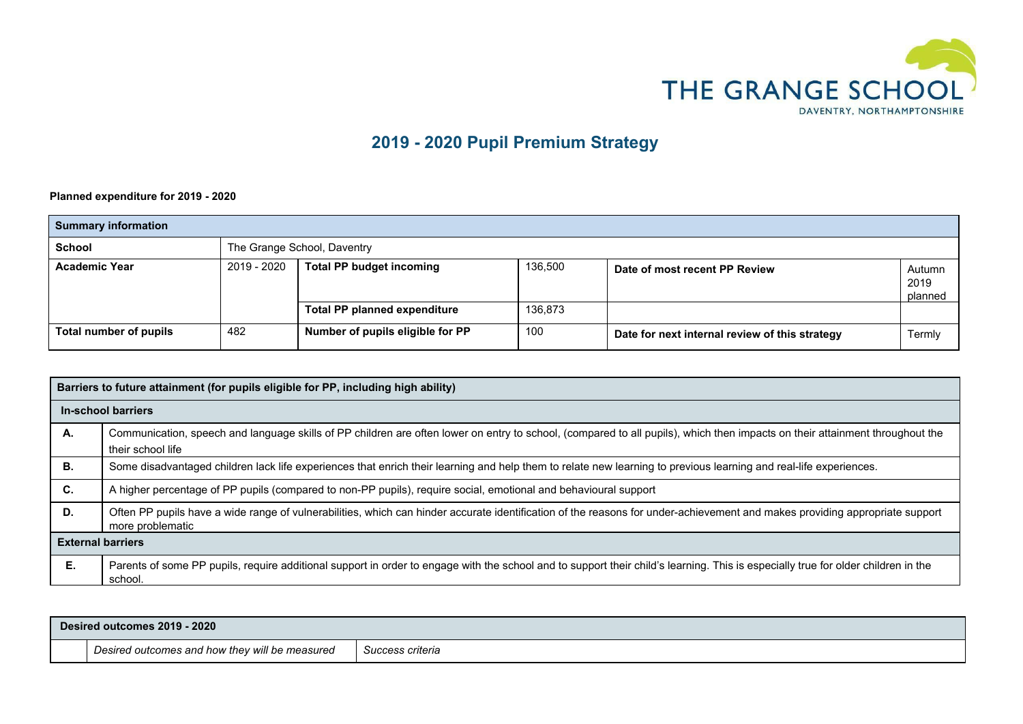

## **2019 - 2020 Pupil Premium Strategy**

 **Planned expenditure for 2019 - 2020**

| <b>Summary information</b> |                                                                                            |                                     |         |                                                |        |
|----------------------------|--------------------------------------------------------------------------------------------|-------------------------------------|---------|------------------------------------------------|--------|
| <b>School</b>              | The Grange School, Daventry                                                                |                                     |         |                                                |        |
| <b>Academic Year</b>       | 2019 - 2020<br><b>Total PP budget incoming</b><br>136,500<br>Date of most recent PP Review |                                     |         | Autumn<br>2019<br>planned                      |        |
|                            |                                                                                            | <b>Total PP planned expenditure</b> | 136,873 |                                                |        |
| Total number of pupils     | 482                                                                                        | Number of pupils eligible for PP    | 100     | Date for next internal review of this strategy | Termly |

|    | Barriers to future attainment (for pupils eligible for PP, including high ability)                                                                                                                |  |  |  |  |
|----|---------------------------------------------------------------------------------------------------------------------------------------------------------------------------------------------------|--|--|--|--|
|    | In-school barriers                                                                                                                                                                                |  |  |  |  |
| А. | Communication, speech and language skills of PP children are often lower on entry to school, (compared to all pupils), which then impacts on their attainment throughout the<br>their school life |  |  |  |  |
| В. | Some disadvantaged children lack life experiences that enrich their learning and help them to relate new learning to previous learning and real-life experiences.                                 |  |  |  |  |
| C. | A higher percentage of PP pupils (compared to non-PP pupils), require social, emotional and behavioural support                                                                                   |  |  |  |  |
| D. | Often PP pupils have a wide range of vulnerabilities, which can hinder accurate identification of the reasons for under-achievement and makes providing appropriate support<br>more problematic   |  |  |  |  |
|    | <b>External barriers</b>                                                                                                                                                                          |  |  |  |  |
| Е. | Parents of some PP pupils, require additional support in order to engage with the school and to support their child's learning. This is especially true for older children in the<br>school.      |  |  |  |  |

| 2020<br>Desired outcomes 2019                  |                  |
|------------------------------------------------|------------------|
| Desired outcomes and how they will be measured | Success criteria |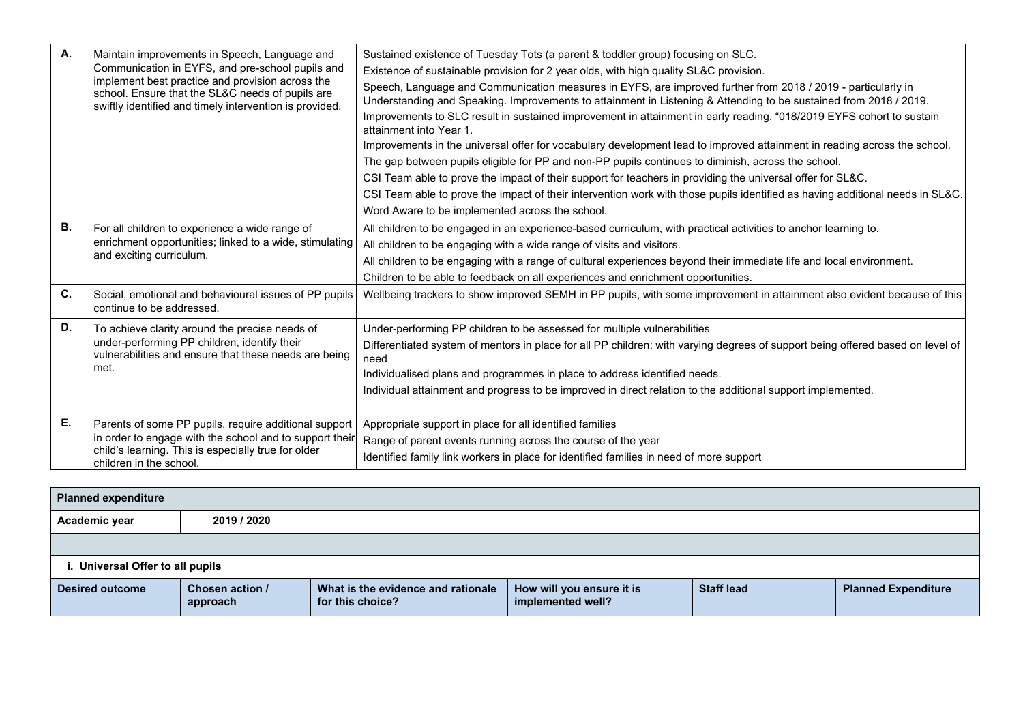| A.        | Maintain improvements in Speech, Language and<br>Communication in EYFS, and pre-school pupils and<br>implement best practice and provision across the<br>school. Ensure that the SL&C needs of pupils are<br>swiftly identified and timely intervention is provided. | Sustained existence of Tuesday Tots (a parent & toddler group) focusing on SLC.<br>Existence of sustainable provision for 2 year olds, with high quality SL&C provision.<br>Speech, Language and Communication measures in EYFS, are improved further from 2018 / 2019 - particularly in<br>Understanding and Speaking. Improvements to attainment in Listening & Attending to be sustained from 2018 / 2019.<br>Improvements to SLC result in sustained improvement in attainment in early reading. "018/2019 EYFS cohort to sustain<br>attainment into Year 1<br>Improvements in the universal offer for vocabulary development lead to improved attainment in reading across the school.<br>The gap between pupils eligible for PP and non-PP pupils continues to diminish, across the school.<br>CSI Team able to prove the impact of their support for teachers in providing the universal offer for SL&C.<br>CSI Team able to prove the impact of their intervention work with those pupils identified as having additional needs in SL&C.<br>Word Aware to be implemented across the school. |
|-----------|----------------------------------------------------------------------------------------------------------------------------------------------------------------------------------------------------------------------------------------------------------------------|-----------------------------------------------------------------------------------------------------------------------------------------------------------------------------------------------------------------------------------------------------------------------------------------------------------------------------------------------------------------------------------------------------------------------------------------------------------------------------------------------------------------------------------------------------------------------------------------------------------------------------------------------------------------------------------------------------------------------------------------------------------------------------------------------------------------------------------------------------------------------------------------------------------------------------------------------------------------------------------------------------------------------------------------------------------------------------------------------------|
| <b>B.</b> | For all children to experience a wide range of<br>enrichment opportunities; linked to a wide, stimulating<br>and exciting curriculum.                                                                                                                                | All children to be engaged in an experience-based curriculum, with practical activities to anchor learning to.<br>All children to be engaging with a wide range of visits and visitors.<br>All children to be engaging with a range of cultural experiences beyond their immediate life and local environment.<br>Children to be able to feedback on all experiences and enrichment opportunities.                                                                                                                                                                                                                                                                                                                                                                                                                                                                                                                                                                                                                                                                                                  |
| C.        | Social, emotional and behavioural issues of PP pupils<br>continue to be addressed.                                                                                                                                                                                   | Wellbeing trackers to show improved SEMH in PP pupils, with some improvement in attainment also evident because of this                                                                                                                                                                                                                                                                                                                                                                                                                                                                                                                                                                                                                                                                                                                                                                                                                                                                                                                                                                             |
| D.        | To achieve clarity around the precise needs of<br>under-performing PP children, identify their<br>vulnerabilities and ensure that these needs are being<br>met.                                                                                                      | Under-performing PP children to be assessed for multiple vulnerabilities<br>Differentiated system of mentors in place for all PP children; with varying degrees of support being offered based on level of<br>need<br>Individualised plans and programmes in place to address identified needs.<br>Individual attainment and progress to be improved in direct relation to the additional support implemented.                                                                                                                                                                                                                                                                                                                                                                                                                                                                                                                                                                                                                                                                                      |
| Е.        | Parents of some PP pupils, require additional support<br>in order to engage with the school and to support their<br>child's learning. This is especially true for older<br>children in the school.                                                                   | Appropriate support in place for all identified families<br>Range of parent events running across the course of the year<br>Identified family link workers in place for identified families in need of more support                                                                                                                                                                                                                                                                                                                                                                                                                                                                                                                                                                                                                                                                                                                                                                                                                                                                                 |

| <b>Planned expenditure</b> |                                 |                                                        |                                                |                   |                            |  |
|----------------------------|---------------------------------|--------------------------------------------------------|------------------------------------------------|-------------------|----------------------------|--|
| Academic year              | 2019 / 2020                     |                                                        |                                                |                   |                            |  |
|                            |                                 |                                                        |                                                |                   |                            |  |
|                            | . Universal Offer to all pupils |                                                        |                                                |                   |                            |  |
| <b>Desired outcome</b>     | Chosen action /<br>approach     | What is the evidence and rationale<br>for this choice? | How will you ensure it is<br>implemented well? | <b>Staff lead</b> | <b>Planned Expenditure</b> |  |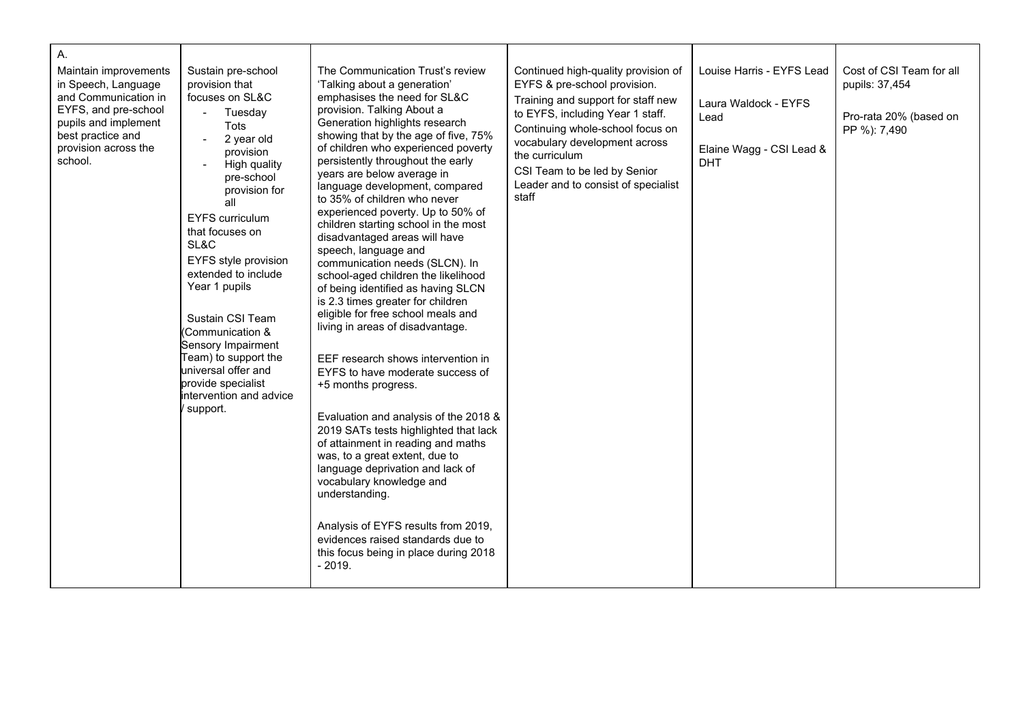| А.<br>Maintain improvements<br>in Speech, Language<br>and Communication in<br>EYFS, and pre-school<br>pupils and implement<br>best practice and<br>provision across the<br>school. | Sustain pre-school<br>provision that<br>focuses on SL&C<br>$\sim$ 10 $\pm$<br>Tuesday<br><b>Tots</b><br>2 year old<br>provision<br>High quality<br>pre-school<br>provision for<br>all<br><b>EYFS curriculum</b><br>that focuses on<br>SL&C<br>EYFS style provision<br>extended to include<br>Year 1 pupils<br>Sustain CSI Team<br>(Communication &<br>Sensory Impairment<br>Team) to support the<br>universal offer and<br>provide specialist<br>intervention and advice<br>support. | The Communication Trust's review<br>'Talking about a generation'<br>emphasises the need for SL&C<br>provision. Talking About a<br>Generation highlights research<br>showing that by the age of five, 75%<br>of children who experienced poverty<br>persistently throughout the early<br>years are below average in<br>language development, compared<br>to 35% of children who never<br>experienced poverty. Up to 50% of<br>children starting school in the most<br>disadvantaged areas will have<br>speech, language and<br>communication needs (SLCN). In<br>school-aged children the likelihood<br>of being identified as having SLCN<br>is 2.3 times greater for children<br>eligible for free school meals and<br>living in areas of disadvantage.<br>EEF research shows intervention in<br>EYFS to have moderate success of<br>+5 months progress.<br>Evaluation and analysis of the 2018 &<br>2019 SATs tests highlighted that lack<br>of attainment in reading and maths<br>was, to a great extent, due to<br>language deprivation and lack of<br>vocabulary knowledge and<br>understanding.<br>Analysis of EYFS results from 2019,<br>evidences raised standards due to<br>this focus being in place during 2018<br>$-2019.$ | Continued high-quality provision of<br>EYFS & pre-school provision.<br>Training and support for staff new<br>to EYFS, including Year 1 staff.<br>Continuing whole-school focus on<br>vocabulary development across<br>the curriculum<br>CSI Team to be led by Senior<br>Leader and to consist of specialist<br>staff | Louise Harris - EYFS Lead<br>Laura Waldock - EYFS<br>Lead<br>Elaine Wagg - CSI Lead &<br><b>DHT</b> | Cost of CSI Team for all<br>pupils: 37,454<br>Pro-rata 20% (based on<br>PP %): 7,490 |
|------------------------------------------------------------------------------------------------------------------------------------------------------------------------------------|--------------------------------------------------------------------------------------------------------------------------------------------------------------------------------------------------------------------------------------------------------------------------------------------------------------------------------------------------------------------------------------------------------------------------------------------------------------------------------------|----------------------------------------------------------------------------------------------------------------------------------------------------------------------------------------------------------------------------------------------------------------------------------------------------------------------------------------------------------------------------------------------------------------------------------------------------------------------------------------------------------------------------------------------------------------------------------------------------------------------------------------------------------------------------------------------------------------------------------------------------------------------------------------------------------------------------------------------------------------------------------------------------------------------------------------------------------------------------------------------------------------------------------------------------------------------------------------------------------------------------------------------------------------------------------------------------------------------------------------|----------------------------------------------------------------------------------------------------------------------------------------------------------------------------------------------------------------------------------------------------------------------------------------------------------------------|-----------------------------------------------------------------------------------------------------|--------------------------------------------------------------------------------------|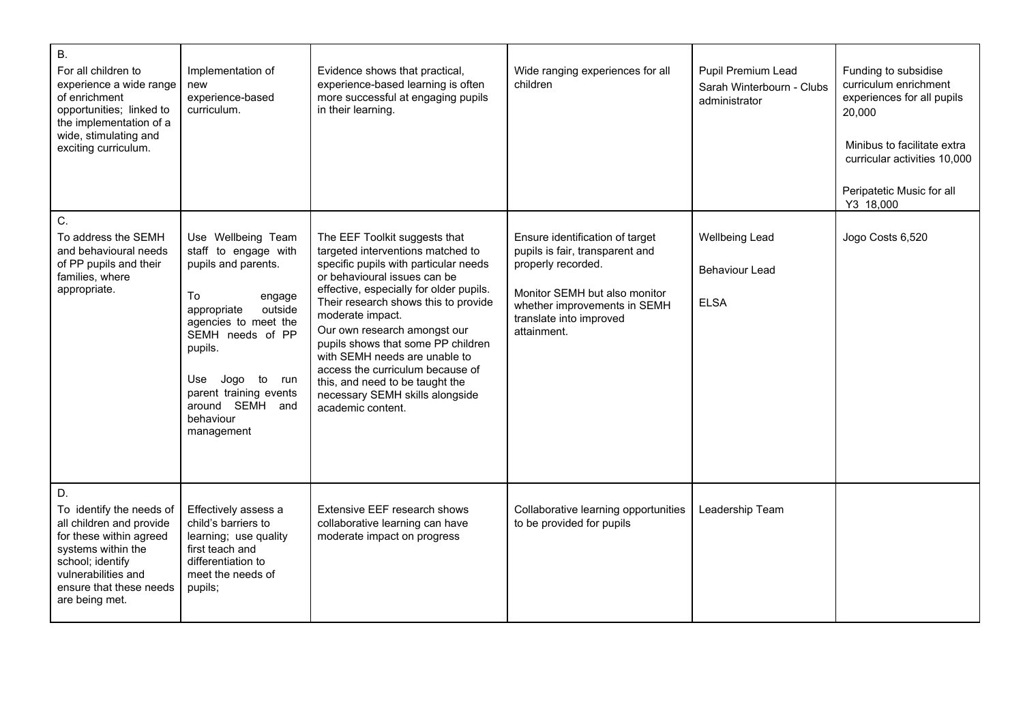| <b>B.</b><br>For all children to<br>experience a wide range<br>of enrichment<br>opportunities; linked to<br>the implementation of a<br>wide, stimulating and<br>exciting curriculum.                | Implementation of<br>new<br>experience-based<br>curriculum.                                                                                                                                                                                                      | Evidence shows that practical,<br>experience-based learning is often<br>more successful at engaging pupils<br>in their learning.                                                                                                                                                                                                                                                                                                                                                         | Wide ranging experiences for all<br>children                                                                                                                                                        | Pupil Premium Lead<br>Sarah Winterbourn - Clubs<br>administrator | Funding to subsidise<br>curriculum enrichment<br>experiences for all pupils<br>20,000<br>Minibus to facilitate extra<br>curricular activities 10,000<br>Peripatetic Music for all<br>Y3 18,000 |
|-----------------------------------------------------------------------------------------------------------------------------------------------------------------------------------------------------|------------------------------------------------------------------------------------------------------------------------------------------------------------------------------------------------------------------------------------------------------------------|------------------------------------------------------------------------------------------------------------------------------------------------------------------------------------------------------------------------------------------------------------------------------------------------------------------------------------------------------------------------------------------------------------------------------------------------------------------------------------------|-----------------------------------------------------------------------------------------------------------------------------------------------------------------------------------------------------|------------------------------------------------------------------|------------------------------------------------------------------------------------------------------------------------------------------------------------------------------------------------|
| C.<br>To address the SEMH<br>and behavioural needs<br>of PP pupils and their<br>families, where<br>appropriate.                                                                                     | Use Wellbeing Team<br>staff to engage with<br>pupils and parents.<br>To<br>engage<br>outside<br>appropriate<br>agencies to meet the<br>SEMH needs of PP<br>pupils.<br>Jogo to run<br>Use<br>parent training events<br>around SEMH and<br>behaviour<br>management | The EEF Toolkit suggests that<br>targeted interventions matched to<br>specific pupils with particular needs<br>or behavioural issues can be<br>effective, especially for older pupils.<br>Their research shows this to provide<br>moderate impact.<br>Our own research amongst our<br>pupils shows that some PP children<br>with SEMH needs are unable to<br>access the curriculum because of<br>this, and need to be taught the<br>necessary SEMH skills alongside<br>academic content. | Ensure identification of target<br>pupils is fair, transparent and<br>properly recorded.<br>Monitor SEMH but also monitor<br>whether improvements in SEMH<br>translate into improved<br>attainment. | Wellbeing Lead<br>Behaviour Lead<br><b>ELSA</b>                  | Jogo Costs 6,520                                                                                                                                                                               |
| D.<br>To identify the needs of<br>all children and provide<br>for these within agreed<br>systems within the<br>school; identify<br>vulnerabilities and<br>ensure that these needs<br>are being met. | Effectively assess a<br>child's barriers to<br>learning; use quality<br>first teach and<br>differentiation to<br>meet the needs of<br>pupils;                                                                                                                    | Extensive EEF research shows<br>collaborative learning can have<br>moderate impact on progress                                                                                                                                                                                                                                                                                                                                                                                           | Collaborative learning opportunities<br>to be provided for pupils                                                                                                                                   | Leadership Team                                                  |                                                                                                                                                                                                |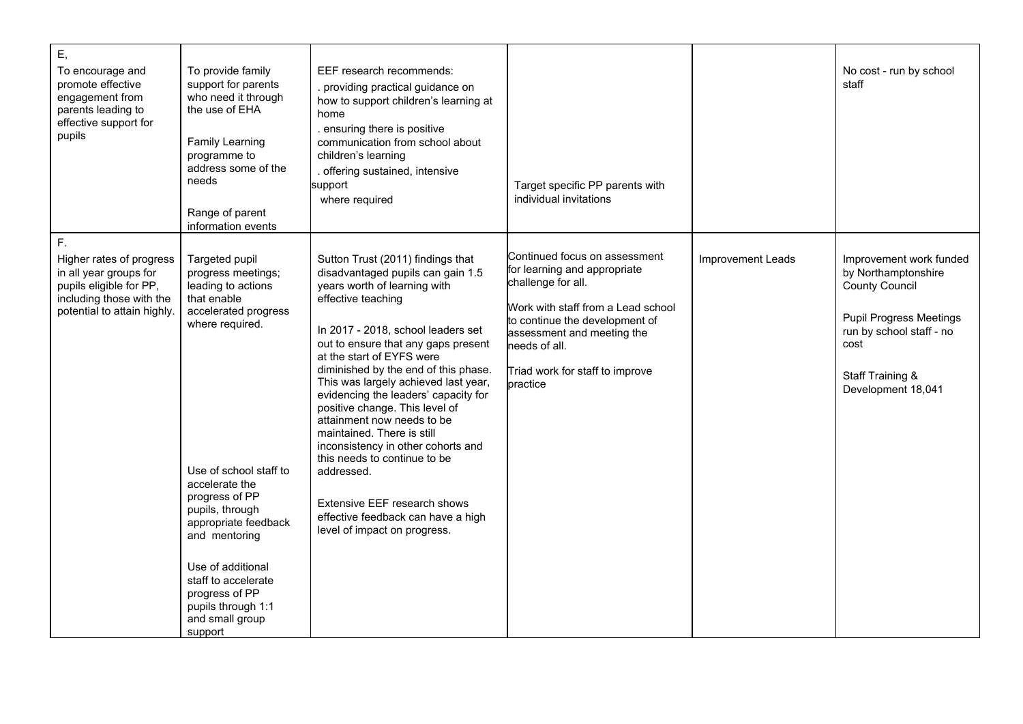| Ε,<br>To encourage and<br>promote effective<br>engagement from<br>parents leading to<br>effective support for<br>pupils                        | To provide family<br>support for parents<br>who need it through<br>the use of EHA<br>Family Learning<br>programme to<br>address some of the<br>needs<br>Range of parent<br>information events                                                                                                                                                                    | EEF research recommends:<br>. providing practical guidance on<br>how to support children's learning at<br>home<br>. ensuring there is positive<br>communication from school about<br>children's learning<br>. offering sustained, intensive<br>support<br>where required                                                                                                                                                                                                                                                                                                                                                                               | Target specific PP parents with<br>individual invitations                                                                                                                                                                                                 |                   | No cost - run by school<br>staff                                                                                                                                                        |
|------------------------------------------------------------------------------------------------------------------------------------------------|------------------------------------------------------------------------------------------------------------------------------------------------------------------------------------------------------------------------------------------------------------------------------------------------------------------------------------------------------------------|--------------------------------------------------------------------------------------------------------------------------------------------------------------------------------------------------------------------------------------------------------------------------------------------------------------------------------------------------------------------------------------------------------------------------------------------------------------------------------------------------------------------------------------------------------------------------------------------------------------------------------------------------------|-----------------------------------------------------------------------------------------------------------------------------------------------------------------------------------------------------------------------------------------------------------|-------------------|-----------------------------------------------------------------------------------------------------------------------------------------------------------------------------------------|
| F.<br>Higher rates of progress<br>in all year groups for<br>pupils eligible for PP,<br>including those with the<br>potential to attain highly. | Targeted pupil<br>progress meetings;<br>leading to actions<br>that enable<br>accelerated progress<br>where required.<br>Use of school staff to<br>accelerate the<br>progress of PP<br>pupils, through<br>appropriate feedback<br>and mentoring<br>Use of additional<br>staff to accelerate<br>progress of PP<br>pupils through 1:1<br>and small group<br>support | Sutton Trust (2011) findings that<br>disadvantaged pupils can gain 1.5<br>years worth of learning with<br>effective teaching<br>In 2017 - 2018, school leaders set<br>out to ensure that any gaps present<br>at the start of EYFS were<br>diminished by the end of this phase.<br>This was largely achieved last year,<br>evidencing the leaders' capacity for<br>positive change. This level of<br>attainment now needs to be<br>maintained. There is still<br>inconsistency in other cohorts and<br>this needs to continue to be<br>addressed.<br>Extensive EEF research shows<br>effective feedback can have a high<br>level of impact on progress. | Continued focus on assessment<br>for learning and appropriate<br>challenge for all.<br>Work with staff from a Lead school<br>to continue the development of<br>assessment and meeting the<br>needs of all.<br>Triad work for staff to improve<br>practice | Improvement Leads | Improvement work funded<br>by Northamptonshire<br><b>County Council</b><br><b>Pupil Progress Meetings</b><br>run by school staff - no<br>cost<br>Staff Training &<br>Development 18,041 |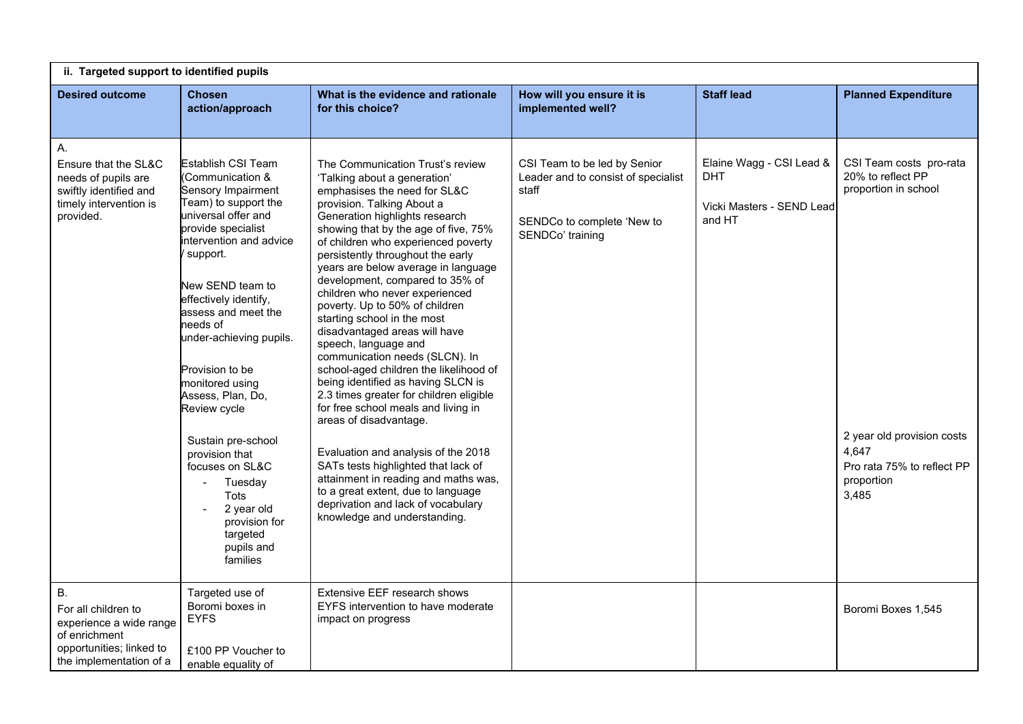| ii. Targeted support to identified pupils                                                                                           |                                                                                                                                                                                                                                                                                                                                                                                                                                                                                                                                                      |                                                                                                                                                                                                                                                                                                                                                                                                                                                                                                                                                                                                                                                                                                                                                                                                                                                                                                                                                                                            |                                                                                                                                |                                                                        |                                                                                                                                                                  |  |
|-------------------------------------------------------------------------------------------------------------------------------------|------------------------------------------------------------------------------------------------------------------------------------------------------------------------------------------------------------------------------------------------------------------------------------------------------------------------------------------------------------------------------------------------------------------------------------------------------------------------------------------------------------------------------------------------------|--------------------------------------------------------------------------------------------------------------------------------------------------------------------------------------------------------------------------------------------------------------------------------------------------------------------------------------------------------------------------------------------------------------------------------------------------------------------------------------------------------------------------------------------------------------------------------------------------------------------------------------------------------------------------------------------------------------------------------------------------------------------------------------------------------------------------------------------------------------------------------------------------------------------------------------------------------------------------------------------|--------------------------------------------------------------------------------------------------------------------------------|------------------------------------------------------------------------|------------------------------------------------------------------------------------------------------------------------------------------------------------------|--|
| <b>Desired outcome</b>                                                                                                              | <b>Chosen</b><br>action/approach                                                                                                                                                                                                                                                                                                                                                                                                                                                                                                                     | What is the evidence and rationale<br>for this choice?                                                                                                                                                                                                                                                                                                                                                                                                                                                                                                                                                                                                                                                                                                                                                                                                                                                                                                                                     | How will you ensure it is<br>implemented well?                                                                                 | <b>Staff lead</b>                                                      | <b>Planned Expenditure</b>                                                                                                                                       |  |
| А.<br>Ensure that the SL&C<br>needs of pupils are<br>swiftly identified and<br>timely intervention is<br>provided.                  | <b>Establish CSI Team</b><br>(Communication &<br>Sensory Impairment<br>Team) to support the<br>universal offer and<br>provide specialist<br>intervention and advice<br>support.<br>New SEND team to<br>effectively identify,<br>assess and meet the<br>needs of<br>under-achieving pupils.<br>Provision to be<br>monitored using<br>Assess, Plan, Do,<br>Review cycle<br>Sustain pre-school<br>provision that<br>focuses on SL&C<br>Tuesday<br>$\overline{\phantom{a}}$<br>Tots<br>2 year old<br>provision for<br>targeted<br>pupils and<br>families | The Communication Trust's review<br>'Talking about a generation'<br>emphasises the need for SL&C<br>provision. Talking About a<br>Generation highlights research<br>showing that by the age of five, 75%<br>of children who experienced poverty<br>persistently throughout the early<br>years are below average in language<br>development, compared to 35% of<br>children who never experienced<br>poverty. Up to 50% of children<br>starting school in the most<br>disadvantaged areas will have<br>speech, language and<br>communication needs (SLCN). In<br>school-aged children the likelihood of<br>being identified as having SLCN is<br>2.3 times greater for children eligible<br>for free school meals and living in<br>areas of disadvantage.<br>Evaluation and analysis of the 2018<br>SATs tests highlighted that lack of<br>attainment in reading and maths was,<br>to a great extent, due to language<br>deprivation and lack of vocabulary<br>knowledge and understanding. | CSI Team to be led by Senior<br>Leader and to consist of specialist<br>staff<br>SENDCo to complete 'New to<br>SENDCo' training | Elaine Wagg - CSI Lead &<br>DHT<br>Vicki Masters - SEND Lead<br>and HT | CSI Team costs pro-rata<br>20% to reflect PP<br>proportion in school<br>2 year old provision costs<br>4,647<br>Pro rata 75% to reflect PP<br>proportion<br>3,485 |  |
| <b>B.</b><br>For all children to<br>experience a wide range<br>of enrichment<br>opportunities; linked to<br>the implementation of a | Targeted use of<br>Boromi boxes in<br><b>EYFS</b><br>£100 PP Voucher to<br>enable equality of                                                                                                                                                                                                                                                                                                                                                                                                                                                        | Extensive EEF research shows<br>EYFS intervention to have moderate<br>impact on progress                                                                                                                                                                                                                                                                                                                                                                                                                                                                                                                                                                                                                                                                                                                                                                                                                                                                                                   |                                                                                                                                |                                                                        | Boromi Boxes 1,545                                                                                                                                               |  |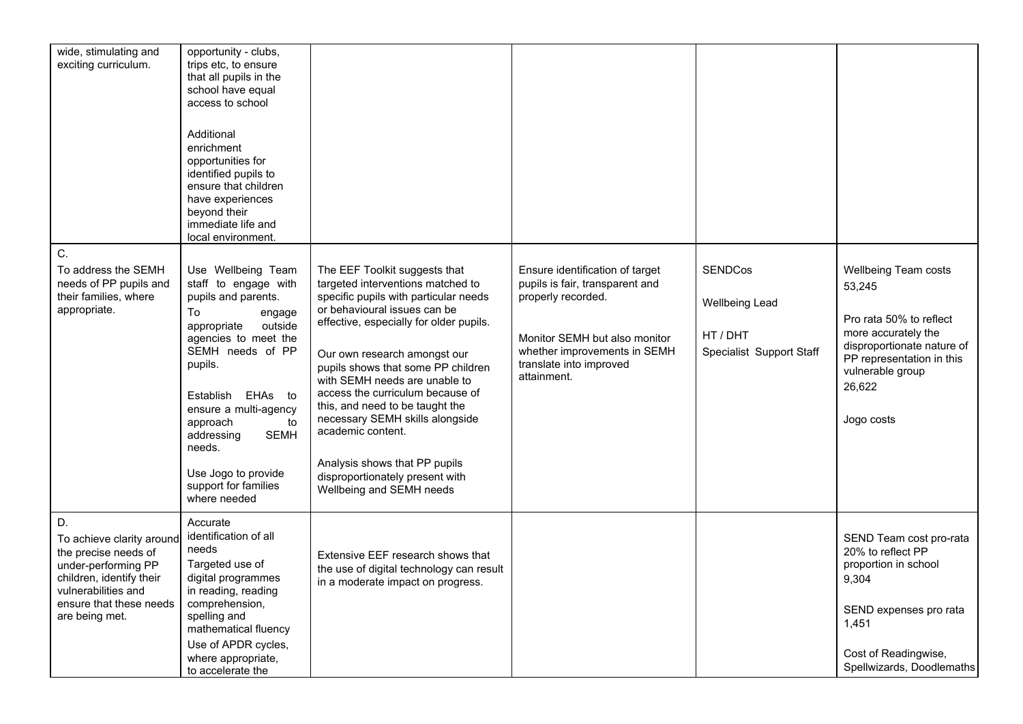| wide, stimulating and<br>exciting curriculum.                                                                                                                                  | opportunity - clubs,<br>trips etc, to ensure<br>that all pupils in the<br>school have equal<br>access to school<br>Additional<br>enrichment<br>opportunities for<br>identified pupils to<br>ensure that children<br>have experiences<br>beyond their<br>immediate life and<br>local environment.                                               |                                                                                                                                                                                                                                                                                                                                                                                                                                                                                                                              |                                                                                                                                                                                                     |                                                                          |                                                                                                                                                                                         |
|--------------------------------------------------------------------------------------------------------------------------------------------------------------------------------|------------------------------------------------------------------------------------------------------------------------------------------------------------------------------------------------------------------------------------------------------------------------------------------------------------------------------------------------|------------------------------------------------------------------------------------------------------------------------------------------------------------------------------------------------------------------------------------------------------------------------------------------------------------------------------------------------------------------------------------------------------------------------------------------------------------------------------------------------------------------------------|-----------------------------------------------------------------------------------------------------------------------------------------------------------------------------------------------------|--------------------------------------------------------------------------|-----------------------------------------------------------------------------------------------------------------------------------------------------------------------------------------|
| C.<br>To address the SEMH<br>needs of PP pupils and<br>their families, where<br>appropriate.                                                                                   | Use Wellbeing Team<br>staff to engage with<br>pupils and parents.<br>To<br>engage<br>outside<br>appropriate<br>agencies to meet the<br>SEMH needs of PP<br>pupils.<br>Establish<br>EHAs<br>to<br>ensure a multi-agency<br>approach<br>to<br>addressing<br><b>SEMH</b><br>needs.<br>Use Jogo to provide<br>support for families<br>where needed | The EEF Toolkit suggests that<br>targeted interventions matched to<br>specific pupils with particular needs<br>or behavioural issues can be<br>effective, especially for older pupils.<br>Our own research amongst our<br>pupils shows that some PP children<br>with SEMH needs are unable to<br>access the curriculum because of<br>this, and need to be taught the<br>necessary SEMH skills alongside<br>academic content.<br>Analysis shows that PP pupils<br>disproportionately present with<br>Wellbeing and SEMH needs | Ensure identification of target<br>pupils is fair, transparent and<br>properly recorded.<br>Monitor SEMH but also monitor<br>whether improvements in SEMH<br>translate into improved<br>attainment. | <b>SENDCos</b><br>Wellbeing Lead<br>HT / DHT<br>Specialist Support Staff | Wellbeing Team costs<br>53,245<br>Pro rata 50% to reflect<br>more accurately the<br>disproportionate nature of<br>PP representation in this<br>vulnerable group<br>26,622<br>Jogo costs |
| D.<br>To achieve clarity around<br>the precise needs of<br>under-performing PP<br>children, identify their<br>vulnerabilities and<br>ensure that these needs<br>are being met. | Accurate<br>identification of all<br>needs<br>Targeted use of<br>digital programmes<br>in reading, reading<br>comprehension,<br>spelling and<br>mathematical fluency<br>Use of APDR cycles,<br>where appropriate,<br>to accelerate the                                                                                                         | Extensive EEF research shows that<br>the use of digital technology can result<br>in a moderate impact on progress.                                                                                                                                                                                                                                                                                                                                                                                                           |                                                                                                                                                                                                     |                                                                          | SEND Team cost pro-rata<br>20% to reflect PP<br>proportion in school<br>9,304<br>SEND expenses pro rata<br>1,451<br>Cost of Readingwise,<br>Spellwizards, Doodlemaths                   |